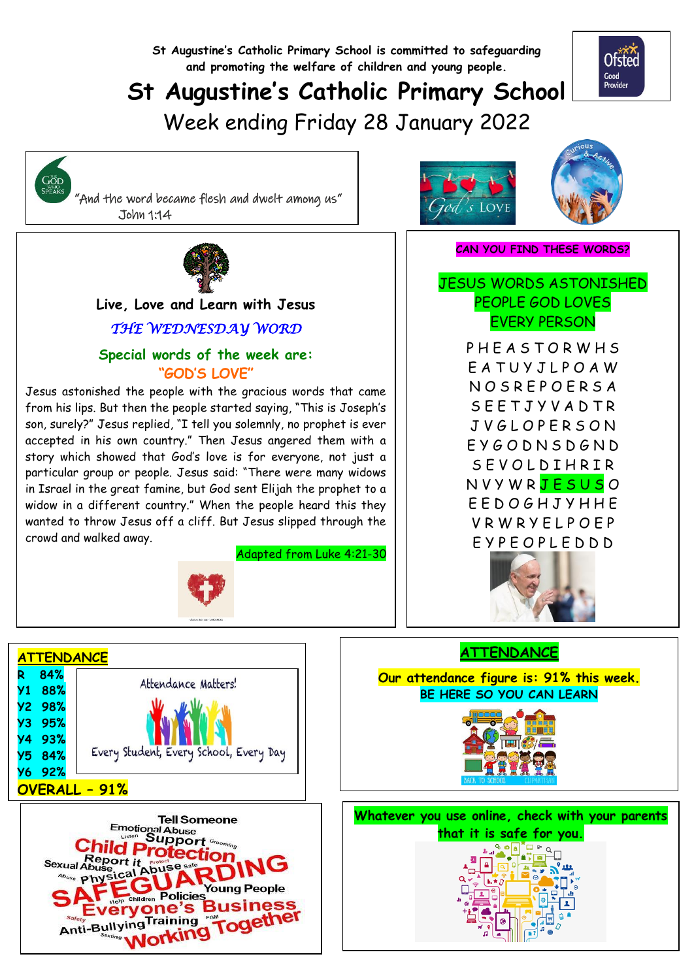**St Augustine's Catholic Primary School is committed to safeguarding and promoting the welfare of children and young people.**

# **St Augustine's Catholic Primary School**

Week ending Friday 28 January 2022





  **Live, Love and Learn with Jesus**

## *THE WEDNESDAY WORD*

## **Special words of the week are: "GOD'S LOVE"**

Jesus astonished the people with the gracious words that came from his lips. But then the people started saying, "This is Joseph's son, surely?" Jesus replied, "I tell you solemnly, no prophet is ever accepted in his own country." Then Jesus angered them with a story which showed that God's love is for everyone, not just a particular group or people. Jesus said: "There were many widows in Israel in the great famine, but God sent Elijah the prophet to a widow in a different country." When the people heard this they wanted to throw Jesus off a cliff. But Jesus slipped through the crowd and walked away.

Adapted from Luke 4:21-30



| <b>ATTENDANCE</b> |     |                                        |  |  |  |
|-------------------|-----|----------------------------------------|--|--|--|
| R                 | 84% |                                        |  |  |  |
| У1                | 88% | Attendance Matters!                    |  |  |  |
| Y2.               | 98% |                                        |  |  |  |
| УЗ                | 95% |                                        |  |  |  |
| У4                | 93% |                                        |  |  |  |
| У5                | 84% | Every Student, Every School, Every Day |  |  |  |
| У6                | 92% |                                        |  |  |  |
| OVERALL - 91%     |     |                                        |  |  |  |





#### **CAN YOU FIND THESE WORDS?**

## JESUS WORDS ASTONISHED PEOPLE GOD LOVES EVERY PERSON

PHEASTORWHS E A T U Y J L P O A W N O S R E P O E R S A S E E T J Y V A D T R J V G L O P E R S O N E Y G O D N S D G N D S E VOLD I HR I R N V Y W R J E S U S O E E D O G H J Y H H E V R W R Y E L P O E P E Y P E O P L E D D D



## **ATTENDANCE**

**Our attendance figure is: 91% this week. BE HERE SO YOU CAN LEARN**